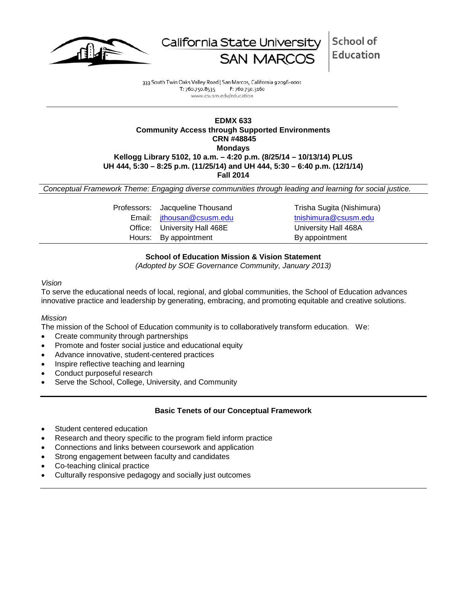

School of California State Universit

**Education** 

333 South Twin Oaks Valley Road | San Marcos, California 92096-0001 T: 760.750.8535 F: 760.750.3160 www.csusm.edu/education

# **EDMX 633 Community Access through Supported Environments CRN #48845 Mondays Kellogg Library 5102, 10 a.m. – 4:20 p.m. (8/25/14 – 10/13/14) PLUS UH 444, 5:30 – 8:25 p.m. (11/25/14) and UH 444, 5:30 – 6:40 p.m. (12/1/14) Fall 2014**

*Conceptual Framework Theme: Engaging diverse communities through leading and learning for social justice.*

Professors: Jacqueline Thousand Trisha Sugita (Nishimura) Email: ithousan@csusm.edu [tnishimura@csusm.edu](mailto:tnishimura@csusm.edu) Office: University Hall 468E University Hall 468A Hours: By appointment By appointment

# **School of Education Mission & Vision Statement**

*(Adopted by SOE Governance Community, January 2013)*

# <span id="page-0-0"></span>*Vision*

To serve the educational needs of local, regional, and global communities, the School of Education advances innovative practice and leadership by generating, embracing, and promoting equitable and creative solutions.

# *Mission*

The mission of the School of Education community is to collaboratively transform education. We:

- Create community through partnerships
- Promote and foster social justice and educational equity
- Advance innovative, student-centered practices
- Inspire reflective teaching and learning
- Conduct purposeful research
- Serve the School, College, University, and Community

# **Basic Tenets of our Conceptual Framework**

- <span id="page-0-1"></span>Student centered education
- Research and theory specific to the program field inform practice
- Connections and links between coursework and application
- Strong engagement between faculty and candidates
- Co-teaching clinical practice
- Culturally responsive pedagogy and socially just outcomes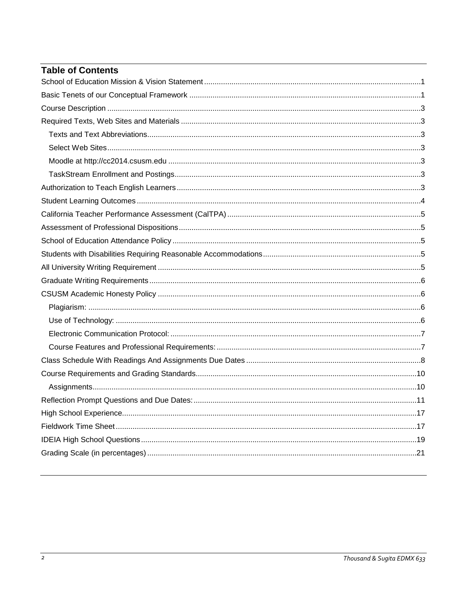<span id="page-1-0"></span>

| <b>Table of Contents</b> |  |
|--------------------------|--|
|                          |  |
|                          |  |
|                          |  |
|                          |  |
|                          |  |
|                          |  |
|                          |  |
|                          |  |
|                          |  |
|                          |  |
|                          |  |
|                          |  |
|                          |  |
|                          |  |
|                          |  |
|                          |  |
|                          |  |
|                          |  |
|                          |  |
|                          |  |
|                          |  |
|                          |  |
|                          |  |
|                          |  |
|                          |  |
|                          |  |
|                          |  |
|                          |  |
|                          |  |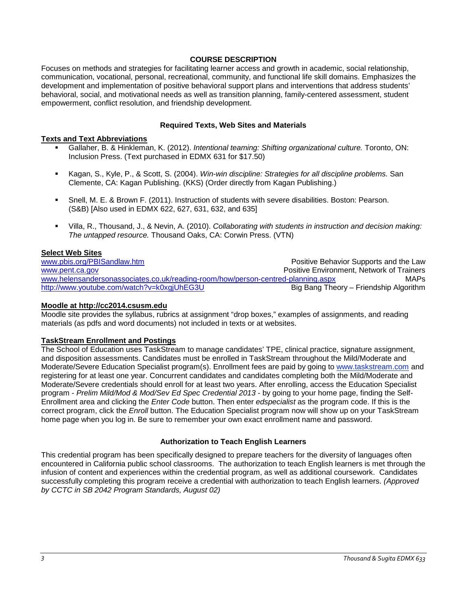# **COURSE DESCRIPTION**

Focuses on methods and strategies for facilitating learner access and growth in academic, social relationship, communication, vocational, personal, recreational, community, and functional life skill domains. Emphasizes the development and implementation of positive behavioral support plans and interventions that address students' behavioral, social, and motivational needs as well as transition planning, family-centered assessment, student empowerment, conflict resolution, and friendship development.

# **Required Texts, Web Sites and Materials**

# <span id="page-2-1"></span><span id="page-2-0"></span>**Texts and Text Abbreviations**

- Gallaher, B. & Hinkleman, K. (2012). *Intentional teaming: Shifting organizational culture.* Toronto, ON: Inclusion Press. (Text purchased in EDMX 631 for \$17.50)
- Kagan, S., Kyle, P., & Scott, S. (2004). *Win-win discipline: Strategies for all discipline problems.* San Clemente, CA: Kagan Publishing. (KKS) (Order directly from Kagan Publishing.)
- Snell, M. E. & Brown F. (2011). Instruction of students with severe disabilities. Boston: Pearson. (S&B) [Also used in EDMX 622, 627, 631, 632, and 635]
- Villa, R., Thousand, J., & Nevin, A. (2010). *Collaborating with students in instruction and decision making: The untapped resource.* Thousand Oaks, CA: Corwin Press. (VTN)

<span id="page-2-2"></span>**Select Web Sites**<br>www.pbis.org/PBISandlaw.htm Positive Behavior Supports and the Law. [www.pent.ca.gov](http://www.pent.ca.gov/)<br>www.helensandersonassociates.co.uk/reading-room/how/person-centred-planning.aspx.cam/have-manning-manning-manning[www.helensandersonassociates.co.uk/reading-room/how/person-centred-planning.aspx](http://www.helensandersonassociates.co.uk/reading-room/how/person-centred-planning.aspx) <http://www.youtube.com/watch?v=k0xgjUhEG3U> Big Bang Theory – Friendship Algorithm

# <span id="page-2-3"></span>**Moodle at http://cc2014.csusm.edu**

Moodle site provides the syllabus, rubrics at assignment "drop boxes," examples of assignments, and reading materials (as pdfs and word documents) not included in texts or at websites.

# <span id="page-2-4"></span>**TaskStream Enrollment and Postings**

The School of Education uses TaskStream to manage candidates' TPE, clinical practice, signature assignment, and disposition assessments. Candidates must be enrolled in TaskStream throughout the Mild/Moderate and Moderate/Severe Education Specialist program(s). Enrollment fees are paid by going to [www.taskstream.com](http://www.taskstrem.com/) and registering for at least one year. Concurrent candidates and candidates completing both the Mild/Moderate and Moderate/Severe credentials should enroll for at least two years. After enrolling, access the Education Specialist program - *Prelim Mild/Mod & Mod/Sev Ed Spec Credential 2013* - by going to your home page, finding the Self-Enrollment area and clicking the *Enter Code* button. Then enter *edspecialist* as the program code. If this is the correct program, click the *Enroll* button. The Education Specialist program now will show up on your TaskStream home page when you log in. Be sure to remember your own exact enrollment name and password.

# **Authorization to Teach English Learners**

<span id="page-2-6"></span><span id="page-2-5"></span>This credential program has been specifically designed to prepare teachers for the diversity of languages often encountered in California public school classrooms. The authorization to teach English learners is met through the infusion of content and experiences within the credential program, as well as additional coursework. Candidates successfully completing this program receive a credential with authorization to teach English learners. *(Approved by CCTC in SB 2042 Program Standards, August 02)*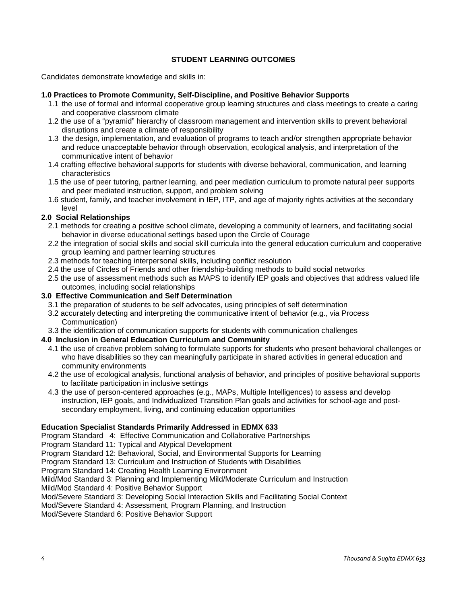# **STUDENT LEARNING OUTCOMES**

Candidates demonstrate knowledge and skills in:

# **1.0 Practices to Promote Community, Self-Discipline, and Positive Behavior Supports**

- 1.1 the use of formal and informal cooperative group learning structures and class meetings to create a caring and cooperative classroom climate
- 1.2 the use of a "pyramid" hierarchy of classroom management and intervention skills to prevent behavioral disruptions and create a climate of responsibility
- 1.3 the design, implementation, and evaluation of programs to teach and/or strengthen appropriate behavior and reduce unacceptable behavior through observation, ecological analysis, and interpretation of the communicative intent of behavior
- 1.4 crafting effective behavioral supports for students with diverse behavioral, communication, and learning characteristics
- 1.5 the use of peer tutoring, partner learning, and peer mediation curriculum to promote natural peer supports and peer mediated instruction, support, and problem solving
- 1.6 student, family, and teacher involvement in IEP, ITP, and age of majority rights activities at the secondary level

# **2.0 Social Relationships**

- 2.1 methods for creating a positive school climate, developing a community of learners, and facilitating social behavior in diverse educational settings based upon the Circle of Courage
- 2.2 the integration of social skills and social skill curricula into the general education curriculum and cooperative group learning and partner learning structures
- 2.3 methods for teaching interpersonal skills, including conflict resolution
- 2.4 the use of Circles of Friends and other friendship-building methods to build social networks
- 2.5 the use of assessment methods such as MAPS to identify IEP goals and objectives that address valued life outcomes, including social relationships

# **3.0 Effective Communication and Self Determination**

- 3.1 the preparation of students to be self advocates, using principles of self determination
- 3.2 accurately detecting and interpreting the communicative intent of behavior (e.g., via Process Communication)
- 3.3 the identification of communication supports for students with communication challenges

# **4.0 Inclusion in General Education Curriculum and Community**

- 4.1 the use of creative problem solving to formulate supports for students who present behavioral challenges or who have disabilities so they can meaningfully participate in shared activities in general education and community environments
- 4.2 the use of ecological analysis, functional analysis of behavior, and principles of positive behavioral supports to facilitate participation in inclusive settings
- 4.3 the use of person-centered approaches (e.g., MAPs, Multiple Intelligences) to assess and develop instruction, IEP goals, and Individualized Transition Plan goals and activities for school-age and postsecondary employment, living, and continuing education opportunities

# **Education Specialist Standards Primarily Addressed in EDMX 633**

Program Standard 4: Effective Communication and Collaborative Partnerships

Program Standard 11: Typical and Atypical Development

Program Standard 12: Behavioral, Social, and Environmental Supports for Learning

Program Standard 13: Curriculum and Instruction of Students with Disabilities

Program Standard 14: Creating Health Learning Environment

Mild/Mod Standard 3: Planning and Implementing Mild/Moderate Curriculum and Instruction Mild/Mod Standard 4: Positive Behavior Support

Mod/Severe Standard 3: Developing Social Interaction Skills and Facilitating Social Context

Mod/Severe Standard 4: Assessment, Program Planning, and Instruction

Mod/Severe Standard 6: Positive Behavior Support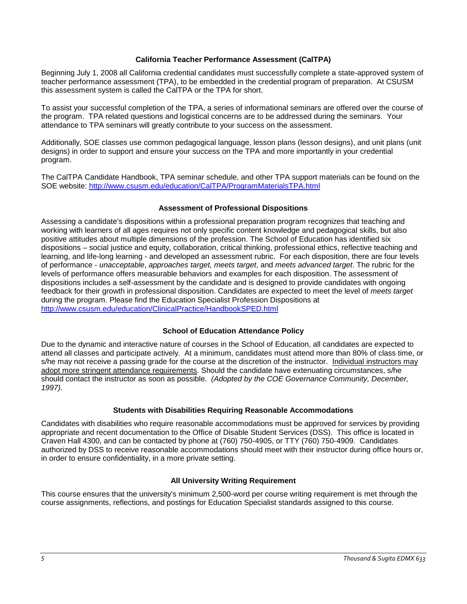# **California Teacher Performance Assessment (CalTPA)**

<span id="page-4-0"></span>Beginning July 1, 2008 all California credential candidates must successfully complete a state-approved system of teacher performance assessment (TPA), to be embedded in the credential program of preparation. At CSUSM this assessment system is called the CalTPA or the TPA for short.

To assist your successful completion of the TPA, a series of informational seminars are offered over the course of the program. TPA related questions and logistical concerns are to be addressed during the seminars. Your attendance to TPA seminars will greatly contribute to your success on the assessment.

Additionally, SOE classes use common pedagogical language, lesson plans (lesson designs), and unit plans (unit designs) in order to support and ensure your success on the TPA and more importantly in your credential program.

The CalTPA Candidate Handbook, TPA seminar schedule, and other TPA support materials can be found on the SOE website: <http://www.csusm.edu/education/CalTPA/ProgramMaterialsTPA.html>

# **Assessment of Professional Dispositions**

<span id="page-4-1"></span>Assessing a candidate's dispositions within a professional preparation program recognizes that teaching and working with learners of all ages requires not only specific content knowledge and pedagogical skills, but also positive attitudes about multiple dimensions of the profession. The School of Education has identified six dispositions – social justice and equity, collaboration, critical thinking, professional ethics, reflective teaching and learning, and life-long learning - and developed an assessment rubric. For each disposition, there are four levels of performance - *unacceptable*, *approaches target, meets target*, and *meets advanced target*. The rubric for the levels of performance offers measurable behaviors and examples for each disposition. The assessment of dispositions includes a self-assessment by the candidate and is designed to provide candidates with ongoing feedback for their growth in professional disposition. Candidates are expected to meet the level of *meets target* during the program. Please find the Education Specialist Profession Dispositions at <http://www.csusm.edu/education/ClinicalPractice/HandbookSPED.html>

# **School of Education Attendance Policy**

<span id="page-4-2"></span>Due to the dynamic and interactive nature of courses in the School of Education, all candidates are expected to attend all classes and participate actively. At a minimum, candidates must attend more than 80% of class time, or s/he may not receive a passing grade for the course at the discretion of the instructor. Individual instructors may adopt more stringent attendance requirements. Should the candidate have extenuating circumstances, s/he should contact the instructor as soon as possible. *(Adopted by the COE Governance Community, December, 1997).*

# **Students with Disabilities Requiring Reasonable Accommodations**

<span id="page-4-3"></span>Candidates with disabilities who require reasonable accommodations must be approved for services by providing appropriate and recent documentation to the Office of Disable Student Services (DSS). This office is located in Craven Hall 4300, and can be contacted by phone at (760) 750-4905, or TTY (760) 750-4909. Candidates authorized by DSS to receive reasonable accommodations should meet with their instructor during office hours or, in order to ensure confidentiality, in a more private setting.

# **All University Writing Requirement**

<span id="page-4-4"></span>This course ensures that the university's minimum 2,500-word per course writing requirement is met through the course assignments, reflections, and postings for Education Specialist standards assigned to this course.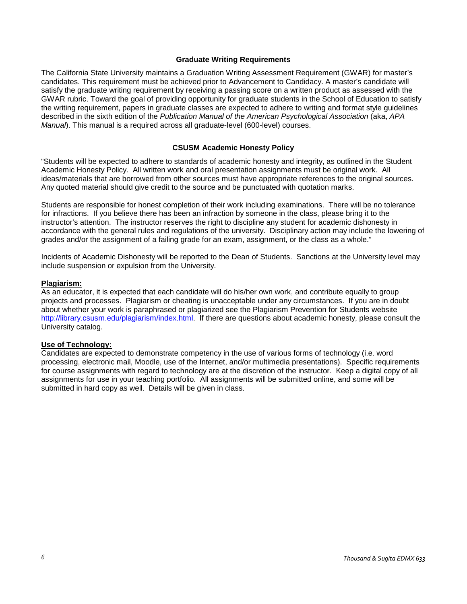#### **Graduate Writing Requirements**

<span id="page-5-0"></span>The California State University maintains a Graduation Writing Assessment Requirement (GWAR) for master's candidates. This requirement must be achieved prior to Advancement to Candidacy. A master's candidate will satisfy the graduate writing requirement by receiving a passing score on a written product as assessed with the GWAR rubric. Toward the goal of providing opportunity for graduate students in the School of Education to satisfy the writing requirement, papers in graduate classes are expected to adhere to writing and format style guidelines described in the sixth edition of the *Publication Manual of the American Psychological Association* (aka, *APA Manual*). This manual is a required across all graduate-level (600-level) courses.

# **CSUSM Academic Honesty Policy**

<span id="page-5-1"></span>"Students will be expected to adhere to standards of academic honesty and integrity, as outlined in the Student Academic Honesty Policy. All written work and oral presentation assignments must be original work. All ideas/materials that are borrowed from other sources must have appropriate references to the original sources. Any quoted material should give credit to the source and be punctuated with quotation marks.

Students are responsible for honest completion of their work including examinations. There will be no tolerance for infractions. If you believe there has been an infraction by someone in the class, please bring it to the instructor's attention. The instructor reserves the right to discipline any student for academic dishonesty in accordance with the general rules and regulations of the university. Disciplinary action may include the lowering of grades and/or the assignment of a failing grade for an exam, assignment, or the class as a whole."

Incidents of Academic Dishonesty will be reported to the Dean of Students. Sanctions at the University level may include suspension or expulsion from the University.

#### <span id="page-5-2"></span>**Plagiarism:**

As an educator, it is expected that each candidate will do his/her own work, and contribute equally to group projects and processes. Plagiarism or cheating is unacceptable under any circumstances. If you are in doubt about whether your work is paraphrased or plagiarized see the Plagiarism Prevention for Students website [http://library.csusm.edu/plagiarism/index.html.](http://library.csusm.edu/plagiarism/index.html) If there are questions about academic honesty, please consult the University catalog.

# <span id="page-5-3"></span>**Use of Technology:**

<span id="page-5-4"></span>Candidates are expected to demonstrate competency in the use of various forms of technology (i.e. word processing, electronic mail, Moodle, use of the Internet, and/or multimedia presentations). Specific requirements for course assignments with regard to technology are at the discretion of the instructor. Keep a digital copy of all assignments for use in your teaching portfolio. All assignments will be submitted online, and some will be submitted in hard copy as well. Details will be given in class.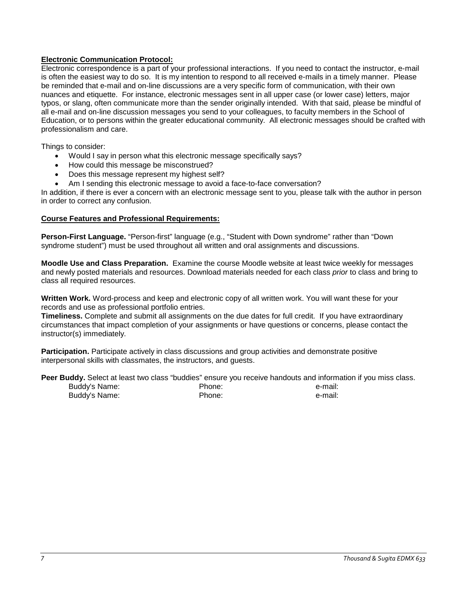# **Electronic Communication Protocol:**

Electronic correspondence is a part of your professional interactions. If you need to contact the instructor, e-mail is often the easiest way to do so. It is my intention to respond to all received e-mails in a timely manner. Please be reminded that e-mail and on-line discussions are a very specific form of communication, with their own nuances and etiquette. For instance, electronic messages sent in all upper case (or lower case) letters, major typos, or slang, often communicate more than the sender originally intended. With that said, please be mindful of all e-mail and on-line discussion messages you send to your colleagues, to faculty members in the School of Education, or to persons within the greater educational community. All electronic messages should be crafted with professionalism and care.

Things to consider:

- Would I say in person what this electronic message specifically says?
- How could this message be misconstrued?
- Does this message represent my highest self?
- Am I sending this electronic message to avoid a face-to-face conversation?

In addition, if there is ever a concern with an electronic message sent to you, please talk with the author in person in order to correct any confusion.

#### <span id="page-6-0"></span>**Course Features and Professional Requirements:**

**Person-First Language.** "Person-first" language (e.g., "Student with Down syndrome" rather than "Down syndrome student") must be used throughout all written and oral assignments and discussions.

**Moodle Use and Class Preparation.** Examine the course Moodle website at least twice weekly for messages and newly posted materials and resources. Download materials needed for each class *prior* to class and bring to class all required resources.

**Written Work.** Word-process and keep and electronic copy of all written work. You will want these for your records and use as professional portfolio entries.

**Timeliness.** Complete and submit all assignments on the due dates for full credit. If you have extraordinary circumstances that impact completion of your assignments or have questions or concerns, please contact the instructor(s) immediately.

**Participation.** Participate actively in class discussions and group activities and demonstrate positive interpersonal skills with classmates, the instructors, and guests.

**Peer Buddy.** Select at least two class "buddies" ensure you receive handouts and information if you miss class.

| Buddy's Name: | Phone: | e-mail: |
|---------------|--------|---------|
| Buddy's Name: | Phone: | e-mail: |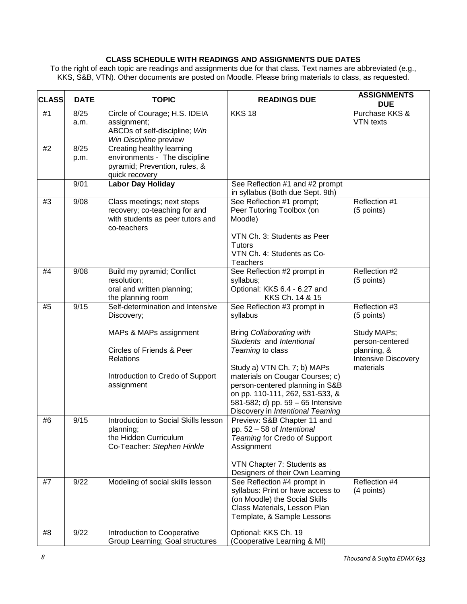# **CLASS SCHEDULE WITH READINGS AND ASSIGNMENTS DUE DATES**

<span id="page-7-0"></span>To the right of each topic are readings and assignments due for that class*.* Text names are abbreviated (e.g., KKS, S&B, VTN). Other documents are posted on Moodle. Please bring materials to class, as requested.

| <b>CLASS</b> | <b>DATE</b>  | <b>TOPIC</b>                                                                                                                                                                           | <b>READINGS DUE</b>                                                                                                                                                                                                                                                                                                                         | <b>ASSIGNMENTS</b><br><b>DUE</b>                                                                                        |
|--------------|--------------|----------------------------------------------------------------------------------------------------------------------------------------------------------------------------------------|---------------------------------------------------------------------------------------------------------------------------------------------------------------------------------------------------------------------------------------------------------------------------------------------------------------------------------------------|-------------------------------------------------------------------------------------------------------------------------|
| #1           | 8/25<br>a.m. | Circle of Courage; H.S. IDEIA<br>assignment;<br>ABCDs of self-discipline; Win<br>Win Discipline preview                                                                                | <b>KKS 18</b>                                                                                                                                                                                                                                                                                                                               | Purchase KKS &<br>VTN texts                                                                                             |
| #2           | 8/25<br>p.m. | Creating healthy learning<br>environments - The discipline<br>pyramid; Prevention, rules, &<br>quick recovery                                                                          |                                                                                                                                                                                                                                                                                                                                             |                                                                                                                         |
|              | 9/01         | <b>Labor Day Holiday</b>                                                                                                                                                               | See Reflection #1 and #2 prompt<br>in syllabus (Both due Sept. 9th)                                                                                                                                                                                                                                                                         |                                                                                                                         |
| #3           | 9/08         | Class meetings; next steps<br>recovery; co-teaching for and<br>with students as peer tutors and<br>co-teachers                                                                         | See Reflection #1 prompt;<br>Peer Tutoring Toolbox (on<br>Moodle)<br>VTN Ch. 3: Students as Peer<br><b>Tutors</b><br>VTN Ch. 4: Students as Co-<br><b>Teachers</b>                                                                                                                                                                          | Reflection #1<br>(5 points)                                                                                             |
| #4           | 9/08         | Build my pyramid; Conflict<br>resolution;<br>oral and written planning;<br>the planning room                                                                                           | See Reflection #2 prompt in<br>syllabus;<br>Optional: KKS 6.4 - 6.27 and<br>KKS Ch. 14 & 15                                                                                                                                                                                                                                                 | Reflection #2<br>(5 points)                                                                                             |
| #5           | 9/15         | Self-determination and Intensive<br>Discovery;<br>MAPs & MAPs assignment<br><b>Circles of Friends &amp; Peer</b><br><b>Relations</b><br>Introduction to Credo of Support<br>assignment | See Reflection #3 prompt in<br>syllabus<br><b>Bring Collaborating with</b><br>Students and Intentional<br>Teaming to class<br>Study a) VTN Ch. 7; b) MAPs<br>materials on Cougar Courses; c)<br>person-centered planning in S&B<br>on pp. 110-111, 262, 531-533, &<br>581-582; d) pp. 59 - 65 Intensive<br>Discovery in Intentional Teaming | Reflection #3<br>(5 points)<br>Study MAPs;<br>person-centered<br>planning, &<br><b>Intensive Discovery</b><br>materials |
| #6           | 9/15         | Introduction to Social Skills lesson<br>planning;<br>the Hidden Curriculum<br>Co-Teacher: Stephen Hinkle                                                                               | Preview: S&B Chapter 11 and<br>pp. 52 - 58 of Intentional<br>Teaming for Credo of Support<br>Assignment<br>VTN Chapter 7: Students as<br>Designers of their Own Learning                                                                                                                                                                    |                                                                                                                         |
| #7           | 9/22         | Modeling of social skills lesson                                                                                                                                                       | See Reflection #4 prompt in<br>syllabus: Print or have access to<br>(on Moodle) the Social Skills<br>Class Materials, Lesson Plan<br>Template, & Sample Lessons                                                                                                                                                                             | Reflection #4<br>(4 points)                                                                                             |
| #8           | 9/22         | Introduction to Cooperative<br>Group Learning; Goal structures                                                                                                                         | Optional: KKS Ch. 19<br>(Cooperative Learning & MI)                                                                                                                                                                                                                                                                                         |                                                                                                                         |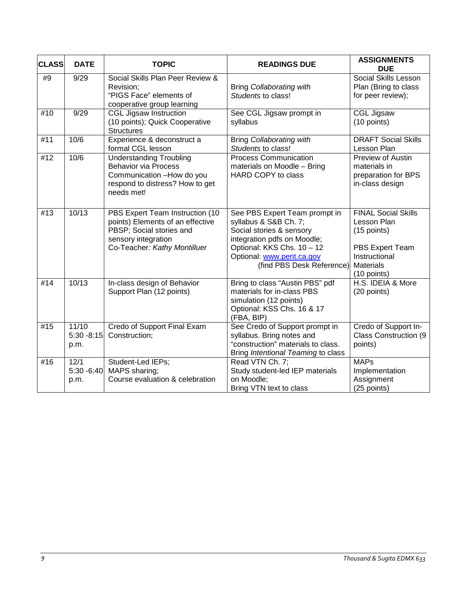<span id="page-8-0"></span>

| <b>CLASS</b> | <b>DATE</b>                    | <b>TOPIC</b>                                                                                                                                           | <b>READINGS DUE</b>                                                                                                                                                                                       | <b>ASSIGNMENTS</b><br><b>DUE</b>                                                                                                |
|--------------|--------------------------------|--------------------------------------------------------------------------------------------------------------------------------------------------------|-----------------------------------------------------------------------------------------------------------------------------------------------------------------------------------------------------------|---------------------------------------------------------------------------------------------------------------------------------|
| #9           | 9/29                           | Social Skills Plan Peer Review &<br>Revision;<br>"PIGS Face" elements of<br>cooperative group learning                                                 | <b>Bring Collaborating with</b><br>Students to class!                                                                                                                                                     | Social Skills Lesson<br>Plan (Bring to class<br>for peer review);                                                               |
| #10          | 9/29                           | <b>CGL Jigsaw Instruction</b><br>(10 points); Quick Cooperative<br><b>Structures</b>                                                                   | See CGL Jigsaw prompt in<br>syllabus                                                                                                                                                                      | <b>CGL Jigsaw</b><br>(10 points)                                                                                                |
| #11          | 10/6                           | Experience & deconstruct a<br>formal CGL lesson                                                                                                        | <b>Bring Collaborating with</b><br>Students to class!                                                                                                                                                     | <b>DRAFT Social Skills</b><br>Lesson Plan                                                                                       |
| #12          | 10/6                           | <b>Understanding Troubling</b><br><b>Behavior via Process</b><br>Communication -How do you<br>respond to distress? How to get<br>needs met!            | <b>Process Communication</b><br>materials on Moodle - Bring<br>HARD COPY to class                                                                                                                         | <b>Preview of Austin</b><br>materials in<br>preparation for BPS<br>in-class design                                              |
| #13          | 10/13                          | PBS Expert Team Instruction (10<br>points) Elements of an effective<br>PBSP; Social stories and<br>sensory integration<br>Co-Teacher: Kathy Montilluer | See PBS Expert Team prompt in<br>syllabus & S&B Ch. 7;<br>Social stories & sensory<br>integration pdfs on Moodle;<br>Optional: KKS Chs. 10 - 12<br>Optional: www.pent.ca.gov<br>(find PBS Desk Reference) | <b>FINAL Social Skills</b><br>Lesson Plan<br>(15 points)<br>PBS Expert Team<br>Instructional<br><b>Materials</b><br>(10 points) |
| #14          | 10/13                          | In-class design of Behavior<br>Support Plan (12 points)                                                                                                | Bring to class "Austin PBS" pdf<br>materials for in-class PBS<br>simulation (12 points)<br>Optional: KSS Chs. 16 & 17<br>(FBA, BIP)                                                                       | H.S. IDEIA & More<br>(20 points)                                                                                                |
| #15          | 11/10<br>$5:30 - 8:15$<br>p.m. | Credo of Support Final Exam<br>Construction;                                                                                                           | See Credo of Support prompt in<br>syllabus. Bring notes and<br>"construction" materials to class.<br>Bring Intentional Teaming to class                                                                   | Credo of Support In-<br>Class Construction (9<br>points)                                                                        |
| #16          | 12/1<br>$5:30 - 6:40$<br>p.m.  | Student-Led IEPs;<br>MAPS sharing;<br>Course evaluation & celebration                                                                                  | Read VTN Ch. 7;<br>Study student-led IEP materials<br>on Moodle;<br>Bring VTN text to class                                                                                                               | <b>MAPs</b><br>Implementation<br>Assignment<br>(25 points)                                                                      |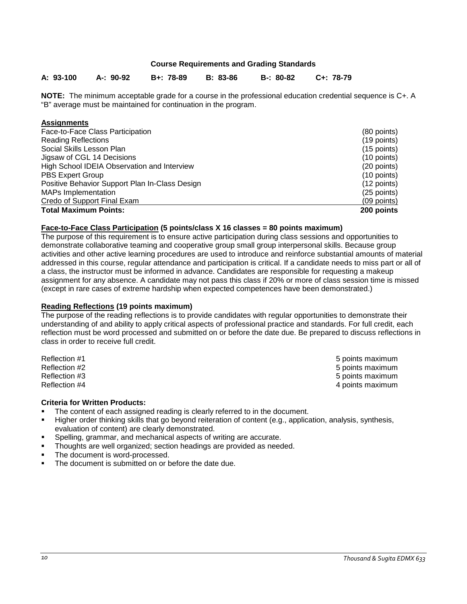#### **Course Requirements and Grading Standards**

# **A: 93-100 A-: 90-92 B+: 78-89 B: 83-86 B-: 80-82 C+: 78-79**

**NOTE:** The minimum acceptable grade for a course in the professional education credential sequence is C+. A "B" average must be maintained for continuation in the program.

# <span id="page-9-0"></span>**Assignments**

| Face-to-Face Class Participation               | (80 points)   |
|------------------------------------------------|---------------|
| <b>Reading Reflections</b>                     | $(19$ points) |
| Social Skills Lesson Plan                      | (15 points)   |
| Jigsaw of CGL 14 Decisions                     | (10 points)   |
| High School IDEIA Observation and Interview    | (20 points)   |
| PBS Expert Group                               | (10 points)   |
| Positive Behavior Support Plan In-Class Design | $(12$ points) |
| <b>MAPs Implementation</b>                     | (25 points)   |
| Credo of Support Final Exam                    | (09 points)   |
| <b>Total Maximum Points:</b>                   | 200 points    |

# **Face-to-Face Class Participation (5 points/class X 16 classes = 80 points maximum)**

The purpose of this requirement is to ensure active participation during class sessions and opportunities to demonstrate collaborative teaming and cooperative group small group interpersonal skills. Because group activities and other active learning procedures are used to introduce and reinforce substantial amounts of material addressed in this course, regular attendance and participation is critical. If a candidate needs to miss part or all of a class, the instructor must be informed in advance. Candidates are responsible for requesting a makeup assignment for any absence. A candidate may not pass this class if 20% or more of class session time is missed (except in rare cases of extreme hardship when expected competences have been demonstrated.)

# **Reading Reflections (19 points maximum)**

The purpose of the reading reflections is to provide candidates with regular opportunities to demonstrate their understanding of and ability to apply critical aspects of professional practice and standards. For full credit, each reflection must be word processed and submitted on or before the date due. Be prepared to discuss reflections in class in order to receive full credit.

Reflection #4 **4 A**  $\alpha$  **A**  $\alpha$  **A**  $\alpha$  **A**  $\alpha$  **A**  $\alpha$  **A**  $\alpha$  **A**  $\alpha$  **A**  $\alpha$  **A**  $\alpha$  **A**  $\alpha$  **A**  $\alpha$  **A**  $\alpha$  **A**  $\alpha$  **A**  $\alpha$  **A**  $\alpha$  **A**  $\alpha$  **A**  $\alpha$  **A**  $\alpha$  **A**  $\alpha$  **A**  $\alpha$  **A**  $\alpha$  **A**  $\alpha$  **A**  $\$ 

Reflection #1 5 points maximum<br>Reflection #2 5 points maximum Reflection #2 Reflection #2 5 points maximum<br>Reflection #3 5 points maximum Reflection #3 5 points maximum

# **Criteria for Written Products:**

- The content of each assigned reading is clearly referred to in the document.
- Higher order thinking skills that go beyond reiteration of content (e.g., application, analysis, synthesis, evaluation of content) are clearly demonstrated.
- Spelling, grammar, and mechanical aspects of writing are accurate.
- Thoughts are well organized; section headings are provided as needed.
- The document is word-processed.
- <span id="page-9-1"></span>The document is submitted on or before the date due.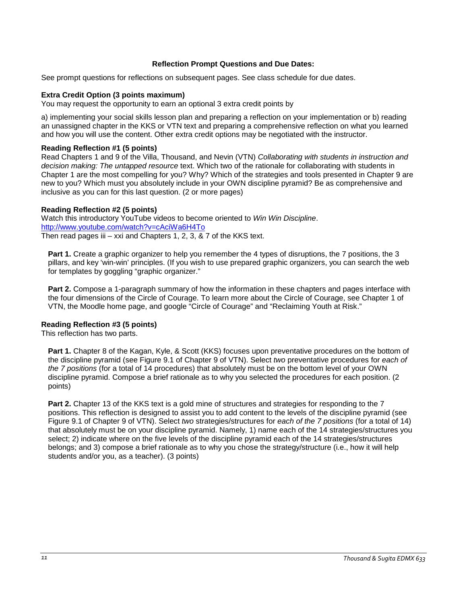# **Reflection Prompt Questions and Due Dates:**

See prompt questions for reflections on subsequent pages. See class schedule for due dates.

#### **Extra Credit Option (3 points maximum)**

You may request the opportunity to earn an optional 3 extra credit points by

a) implementing your social skills lesson plan and preparing a reflection on your implementation or b) reading an unassigned chapter in the KKS or VTN text and preparing a comprehensive reflection on what you learned and how you will use the content. Other extra credit options may be negotiated with the instructor.

# **Reading Reflection #1 (5 points)**

Read Chapters 1 and 9 of the Villa, Thousand, and Nevin (VTN) *Collaborating with students in instruction and decision making: The untapped resource* text. Which two of the rationale for collaborating with students in Chapter 1 are the most compelling for you? Why? Which of the strategies and tools presented in Chapter 9 are new to you? Which must you absolutely include in your OWN discipline pyramid? Be as comprehensive and inclusive as you can for this last question. (2 or more pages)

#### **Reading Reflection #2 (5 points)**

Watch this introductory YouTube videos to become oriented to *Win Win Discipline*. <http://www.youtube.com/watch?v=cAciWa6H4To> Then read pages iii – xxi and Chapters 1, 2, 3,  $\&$  7 of the KKS text.

**Part 1.** Create a graphic organizer to help you remember the 4 types of disruptions, the 7 positions, the 3 pillars, and key 'win-win' principles. (If you wish to use prepared graphic organizers, you can search the web for templates by goggling "graphic organizer."

**Part 2.** Compose a 1-paragraph summary of how the information in these chapters and pages interface with the four dimensions of the Circle of Courage. To learn more about the Circle of Courage, see Chapter 1 of VTN, the Moodle home page, and google "Circle of Courage" and "Reclaiming Youth at Risk."

#### **Reading Reflection #3 (5 points)**

This reflection has two parts.

Part 1. Chapter 8 of the Kagan, Kyle, & Scott (KKS) focuses upon preventative procedures on the bottom of the discipline pyramid (see Figure 9.1 of Chapter 9 of VTN). Select *two* preventative procedures for *each of the 7 positions* (for a total of 14 procedures) that absolutely must be on the bottom level of your OWN discipline pyramid. Compose a brief rationale as to why you selected the procedures for each position. (2 points)

**Part 2.** Chapter 13 of the KKS text is a gold mine of structures and strategies for responding to the 7 positions. This reflection is designed to assist you to add content to the levels of the discipline pyramid (see Figure 9.1 of Chapter 9 of VTN). Select *two* strategies/structures for *each of the 7 positions* (for a total of 14) that absolutely must be on your discipline pyramid. Namely, 1) name each of the 14 strategies/structures you select; 2) indicate where on the five levels of the discipline pyramid each of the 14 strategies/structures belongs; and 3) compose a brief rationale as to why you chose the strategy/structure (i.e., how it will help students and/or you, as a teacher). (3 points)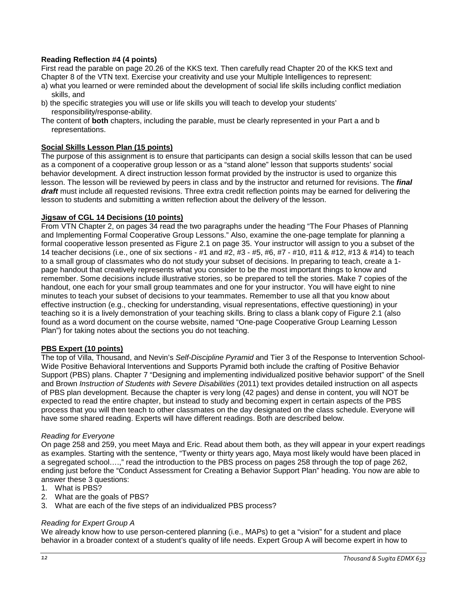# **Reading Reflection #4 (4 points)**

First read the parable on page 20.26 of the KKS text. Then carefully read Chapter 20 of the KKS text and Chapter 8 of the VTN text. Exercise your creativity and use your Multiple Intelligences to represent:

- a) what you learned or were reminded about the development of social life skills including conflict mediation skills, and
- b) the specific strategies you will use or life skills you will teach to develop your students' responsibility/response-ability.
- The content of **both** chapters, including the parable, must be clearly represented in your Part a and b representations.

#### **Social Skills Lesson Plan (15 points)**

The purpose of this assignment is to ensure that participants can design a social skills lesson that can be used as a component of a cooperative group lesson or as a "stand alone" lesson that supports students' social behavior development. A direct instruction lesson format provided by the instructor is used to organize this lesson. The lesson will be reviewed by peers in class and by the instructor and returned for revisions. The *final draft* must include all requested revisions. Three extra credit reflection points may be earned for delivering the lesson to students and submitting a written reflection about the delivery of the lesson.

#### **Jigsaw of CGL 14 Decisions (10 points)**

From VTN Chapter 2, on pages 34 read the two paragraphs under the heading "The Four Phases of Planning and Implementing Formal Cooperative Group Lessons." Also, examine the one-page template for planning a formal cooperative lesson presented as Figure 2.1 on page 35. Your instructor will assign to you a subset of the 14 teacher decisions (i.e., one of six sections - #1 and #2, #3 - #5, #6, #7 - #10, #11 & #12, #13 & #14) to teach to a small group of classmates who do not study your subset of decisions. In preparing to teach, create a 1 page handout that creatively represents what you consider to be the most important things to know and remember. Some decisions include illustrative stories, so be prepared to tell the stories. Make 7 copies of the handout, one each for your small group teammates and one for your instructor. You will have eight to nine minutes to teach your subset of decisions to your teammates. Remember to use all that you know about effective instruction (e.g., checking for understanding, visual representations, effective questioning) in your teaching so it is a lively demonstration of your teaching skills. Bring to class a blank copy of Figure 2.1 (also found as a word document on the course website, named "One-page Cooperative Group Learning Lesson Plan") for taking notes about the sections you do not teaching.

# **PBS Expert (10 points)**

The top of Villa, Thousand, and Nevin's *Self-Discipline Pyramid* and Tier 3 of the Response to Intervention School-Wide Positive Behavioral Interventions and Supports Pyramid both include the crafting of Positive Behavior Support (PBS) plans. Chapter 7 "Designing and implementing individualized positive behavior support" of the Snell and Brown *Instruction of Students with Severe Disabilities* (2011) text provides detailed instruction on all aspects of PBS plan development. Because the chapter is very long (42 pages) and dense in content, you will NOT be expected to read the entire chapter, but instead to study and becoming expert in certain aspects of the PBS process that you will then teach to other classmates on the day designated on the class schedule. Everyone will have some shared reading. Experts will have different readings. Both are described below.

#### *Reading for Everyone*

On page 258 and 259, you meet Maya and Eric. Read about them both, as they will appear in your expert readings as examples. Starting with the sentence, "Twenty or thirty years ago, Maya most likely would have been placed in a segregated school….," read the introduction to the PBS process on pages 258 through the top of page 262, ending just before the "Conduct Assessment for Creating a Behavior Support Plan" heading. You now are able to answer these 3 questions:

- 1. What is PBS?
- 2. What are the goals of PBS?
- 3. What are each of the five steps of an individualized PBS process?

# *Reading for Expert Group A*

We already know how to use person-centered planning (i.e., MAPs) to get a "vision" for a student and place behavior in a broader context of a student's quality of life needs. Expert Group A will become expert in how to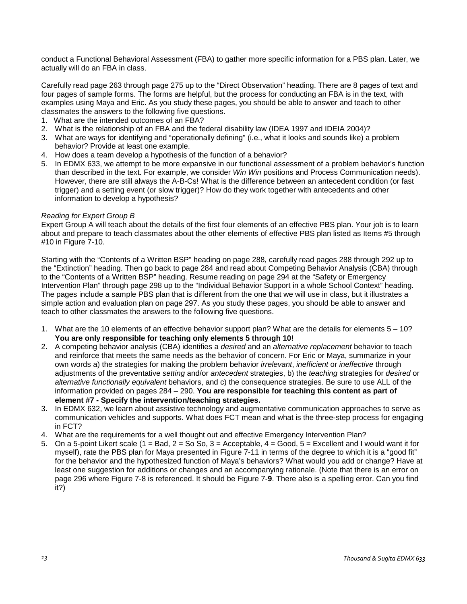conduct a Functional Behavioral Assessment (FBA) to gather more specific information for a PBS plan. Later, we actually will do an FBA in class.

Carefully read page 263 through page 275 up to the "Direct Observation" heading. There are 8 pages of text and four pages of sample forms. The forms are helpful, but the process for conducting an FBA is in the text, with examples using Maya and Eric. As you study these pages, you should be able to answer and teach to other classmates the answers to the following five questions.

- 1. What are the intended outcomes of an FBA?
- 2. What is the relationship of an FBA and the federal disability law (IDEA 1997 and IDEIA 2004)?
- 3. What are ways for identifying and "operationally defining" (i.e., what it looks and sounds like) a problem behavior? Provide at least one example.
- 4. How does a team develop a hypothesis of the function of a behavior?
- 5. In EDMX 633, we attempt to be more expansive in our functional assessment of a problem behavior's function than described in the text. For example, we consider *Win Win* positions and Process Communication needs). However, there are still always the A-B-Cs! What is the difference between an antecedent condition (or fast trigger) and a setting event (or slow trigger)? How do they work together with antecedents and other information to develop a hypothesis?

# *Reading for Expert Group B*

Expert Group A will teach about the details of the first four elements of an effective PBS plan. Your job is to learn about and prepare to teach classmates about the other elements of effective PBS plan listed as Items #5 through #10 in Figure 7-10.

Starting with the "Contents of a Written BSP" heading on page 288, carefully read pages 288 through 292 up to the "Extinction" heading. Then go back to page 284 and read about Competing Behavior Analysis (CBA) through to the "Contents of a Written BSP" heading. Resume reading on page 294 at the "Safety or Emergency Intervention Plan" through page 298 up to the "Individual Behavior Support in a whole School Context" heading. The pages include a sample PBS plan that is different from the one that we will use in class, but it illustrates a simple action and evaluation plan on page 297. As you study these pages, you should be able to answer and teach to other classmates the answers to the following five questions.

- 1. What are the 10 elements of an effective behavior support plan? What are the details for elements 5 10? **You are only responsible for teaching only elements 5 through 10!**
- 2. A competing behavior analysis (CBA) identifies a *desired* and an *alternative replacement* behavior to teach and reinforce that meets the same needs as the behavior of concern. For Eric or Maya, summarize in your own words a) the strategies for making the problem behavior *irrelevant*, *inefficient* or *ineffective* through adjustments of the preventative *setting* and/or *antecedent* strategies, b) the *teaching* strategies for *desired* or *alternative functionally equivalent* behaviors, and c) the consequence strategies. Be sure to use ALL of the information provided on pages 284 – 290. **You are responsible for teaching this content as part of element #7 - Specify the intervention/teaching strategies.**
- 3. In EDMX 632, we learn about assistive technology and augmentative communication approaches to serve as communication vehicles and supports. What does FCT mean and what is the three-step process for engaging in FCT?
- 4. What are the requirements for a well thought out and effective Emergency Intervention Plan?
- 5. On a 5-point Likert scale (1 = Bad,  $2 =$  So So,  $3 =$  Acceptable,  $4 =$  Good,  $5 =$  Excellent and I would want it for myself), rate the PBS plan for Maya presented in Figure 7-11 in terms of the degree to which it is a "good fit" for the behavior and the hypothesized function of Maya's behaviors? What would you add or change? Have at least one suggestion for additions or changes and an accompanying rationale. (Note that there is an error on page 296 where Figure 7-8 is referenced. It should be Figure 7-**9**. There also is a spelling error. Can you find it?)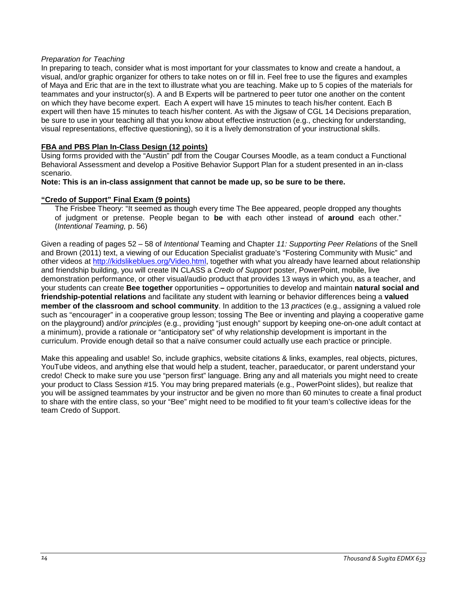# *Preparation for Teaching*

In preparing to teach, consider what is most important for your classmates to know and create a handout, a visual, and/or graphic organizer for others to take notes on or fill in. Feel free to use the figures and examples of Maya and Eric that are in the text to illustrate what you are teaching. Make up to 5 copies of the materials for teammates and your instructor(s). A and B Experts will be partnered to peer tutor one another on the content on which they have become expert. Each A expert will have 15 minutes to teach his/her content. Each B expert will then have 15 minutes to teach his/her content. As with the Jigsaw of CGL 14 Decisions preparation, be sure to use in your teaching all that you know about effective instruction (e.g., checking for understanding, visual representations, effective questioning), so it is a lively demonstration of your instructional skills.

# **FBA and PBS Plan In-Class Design (12 points)**

Using forms provided with the "Austin" pdf from the Cougar Courses Moodle, as a team conduct a Functional Behavioral Assessment and develop a Positive Behavior Support Plan for a student presented in an in-class scenario.

**Note: This is an in-class assignment that cannot be made up, so be sure to be there.**

# **"Credo of Support" Final Exam (9 points)**

The Frisbee Theory: "It seemed as though every time The Bee appeared, people dropped any thoughts of judgment or pretense. People began to **be** with each other instead of **around** each other." (*Intentional Teaming,* p. 56)

Given a reading of pages 52 – 58 of *Intentional* Teaming and Chapter *11: Supporting Peer Relations* of the Snell and Brown (2011) text, a viewing of our Education Specialist graduate's "Fostering Community with Music" and other videos at [http://kidslikeblues.org/Video.html,](http://kidslikeblues.org/Video.html) together with what you already have learned about relationship and friendship building, you will create IN CLASS a *Credo of Support* poster, PowerPoint, mobile, live demonstration performance, or other visual/audio product that provides 13 ways in which you, as a teacher, and your students can create **Bee together** opportunities **–** opportunities to develop and maintain **natural social and friendship-potential relations** and facilitate any student with learning or behavior differences being a **valued member of the classroom and school community**. In addition to the 13 *practices* (e.g., assigning a valued role such as "encourager" in a cooperative group lesson; tossing The Bee or inventing and playing a cooperative game on the playground) and/or *principles* (e.g., providing "just enough" support by keeping one-on-one adult contact at a minimum), provide a rationale or "anticipatory set" of why relationship development is important in the curriculum. Provide enough detail so that a naïve consumer could actually use each practice or principle.

Make this appealing and usable! So, include graphics, website citations & links, examples, real objects, pictures, YouTube videos, and anything else that would help a student, teacher, paraeducator, or parent understand your credo! Check to make sure you use "person first" language. Bring any and all materials you might need to create your product to Class Session #15. You may bring prepared materials (e.g., PowerPoint slides), but realize that you will be assigned teammates by your instructor and be given no more than 60 minutes to create a final product to share with the entire class, so your "Bee" might need to be modified to fit your team's collective ideas for the team Credo of Support.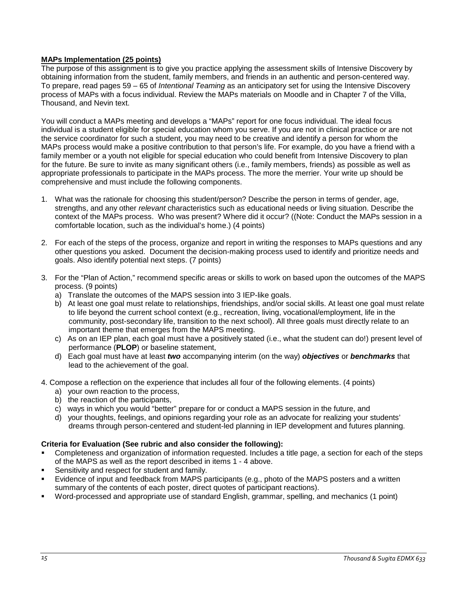# **MAPs Implementation (25 points)**

The purpose of this assignment is to give you practice applying the assessment skills of Intensive Discovery by obtaining information from the student, family members, and friends in an authentic and person-centered way. To prepare, read pages 59 – 65 of *Intentional Teaming* as an anticipatory set for using the Intensive Discovery process of MAPs with a focus individual. Review the MAPs materials on Moodle and in Chapter 7 of the Villa, Thousand, and Nevin text.

You will conduct a MAPs meeting and develops a "MAPs" report for one focus individual. The ideal focus individual is a student eligible for special education whom you serve. If you are not in clinical practice or are not the service coordinator for such a student, you may need to be creative and identify a person for whom the MAPs process would make a positive contribution to that person's life. For example, do you have a friend with a family member or a youth not eligible for special education who could benefit from Intensive Discovery to plan for the future. Be sure to invite as many significant others (i.e., family members, friends) as possible as well as appropriate professionals to participate in the MAPs process. The more the merrier. Your write up should be comprehensive and must include the following components.

- 1. What was the rationale for choosing this student/person? Describe the person in terms of gender, age, strengths, and any other *relevant* characteristics such as educational needs or living situation. Describe the context of the MAPs process. Who was present? Where did it occur? ((Note: Conduct the MAPs session in a comfortable location, such as the individual's home.) (4 points)
- 2. For each of the steps of the process, organize and report in writing the responses to MAPs questions and any other questions you asked. Document the decision-making process used to identify and prioritize needs and goals. Also identify potential next steps. (7 points)
- 3. For the "Plan of Action," recommend specific areas or skills to work on based upon the outcomes of the MAPS process. (9 points)
	- a) Translate the outcomes of the MAPS session into 3 IEP-like goals.
	- b) At least one goal must relate to relationships, friendships, and/or social skills. At least one goal must relate to life beyond the current school context (e.g., recreation, living, vocational/employment, life in the community, post-secondary life, transition to the next school). All three goals must directly relate to an important theme that emerges from the MAPS meeting.
	- c) As on an IEP plan, each goal must have a positively stated (i.e., what the student can do!) present level of performance (**PLOP**) or baseline statement,
	- d) Each goal must have at least *two* accompanying interim (on the way) *objectives* or *benchmarks* that lead to the achievement of the goal.
- 4. Compose a reflection on the experience that includes all four of the following elements. (4 points)
	- a) your own reaction to the process,
	- b) the reaction of the participants,
	- c) ways in which you would "better" prepare for or conduct a MAPS session in the future, and
	- d) your thoughts, feelings, and opinions regarding your role as an advocate for realizing your students' dreams through person-centered and student-led planning in IEP development and futures planning.

# **Criteria for Evaluation (See rubric and also consider the following):**

- Completeness and organization of information requested. Includes a title page, a section for each of the steps of the MAPS as well as the report described in items 1 - 4 above.
- Sensitivity and respect for student and family.
- Evidence of input and feedback from MAPS participants (e.g., photo of the MAPS posters and a written summary of the contents of each poster, direct quotes of participant reactions).
- Word-processed and appropriate use of standard English, grammar, spelling, and mechanics (1 point)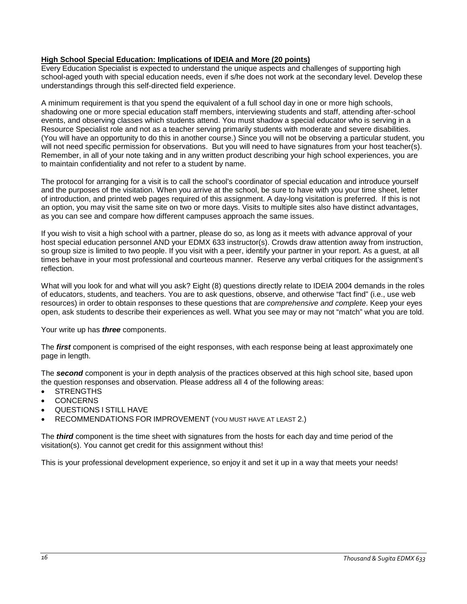# **High School Special Education: Implications of IDEIA and More (20 points)**

Every Education Specialist is expected to understand the unique aspects and challenges of supporting high school-aged youth with special education needs, even if s/he does not work at the secondary level. Develop these understandings through this self-directed field experience.

A minimum requirement is that you spend the equivalent of a full school day in one or more high schools, shadowing one or more special education staff members, interviewing students and staff, attending after-school events, and observing classes which students attend. You must shadow a special educator who is serving in a Resource Specialist role and not as a teacher serving primarily students with moderate and severe disabilities. (You will have an opportunity to do this in another course.) Since you will not be observing a particular student, you will not need specific permission for observations. But you will need to have signatures from your host teacher(s). Remember, in all of your note taking and in any written product describing your high school experiences, you are to maintain confidentiality and not refer to a student by name.

The protocol for arranging for a visit is to call the school's coordinator of special education and introduce yourself and the purposes of the visitation. When you arrive at the school, be sure to have with you your time sheet, letter of introduction, and printed web pages required of this assignment. A day-long visitation is preferred. If this is not an option, you may visit the same site on two or more days. Visits to multiple sites also have distinct advantages, as you can see and compare how different campuses approach the same issues.

If you wish to visit a high school with a partner, please do so, as long as it meets with advance approval of your host special education personnel AND your EDMX 633 instructor(s). Crowds draw attention away from instruction, so group size is limited to two people. If you visit with a peer, identify your partner in your report. As a guest, at all times behave in your most professional and courteous manner. Reserve any verbal critiques for the assignment's reflection.

What will you look for and what will you ask? Eight (8) questions directly relate to IDEIA 2004 demands in the roles of educators, students, and teachers. You are to ask questions, observe, and otherwise "fact find" (i.e., use web resources) in order to obtain responses to these questions that are *comprehensive and complete*. Keep your eyes open, ask students to describe their experiences as well. What you see may or may not "match" what you are told.

Your write up has *three* components.

The *first* component is comprised of the eight responses, with each response being at least approximately one page in length.

The *second* component is your in depth analysis of the practices observed at this high school site, based upon the question responses and observation. Please address all 4 of the following areas:

- STRENGTHS
- CONCERNS
- QUESTIONS I STILL HAVE
- RECOMMENDATIONS FOR IMPROVEMENT (YOU MUST HAVE AT LEAST 2.)

The *third* component is the time sheet with signatures from the hosts for each day and time period of the visitation(s). You cannot get credit for this assignment without this!

This is your professional development experience, so enjoy it and set it up in a way that meets your needs!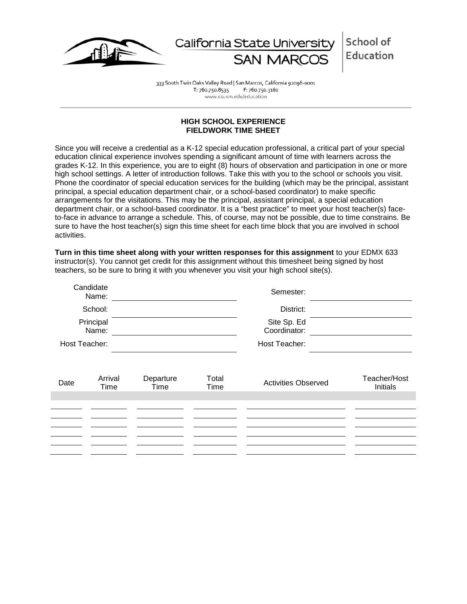

California State Universit

School of **Education** 

333 South Twin Oaks Valley Road | San Marcos, California 92096-0001 F: 760.750.3160 T: 760.750.8535 www.csusm.edu/education

# **HIGH SCHOOL EXPERIENCE FIELDWORK TIME SHEET**

<span id="page-16-1"></span><span id="page-16-0"></span>Since you will receive a credential as a K-12 special education professional, a critical part of your special education clinical experience involves spending a significant amount of time with learners across the grades K-12. In this experience, you are to eight (8) hours of observation and participation in one or more high school settings. A letter of introduction follows. Take this with you to the school or schools you visit. Phone the coordinator of special education services for the building (which may be the principal, assistant principal, a special education department chair, or a school-based coordinator) to make specific arrangements for the visitations. This may be the principal, assistant principal, a special education department chair, or a school-based coordinator. It is a "best practice" to meet your host teacher(s) faceto-face in advance to arrange a schedule. This, of course, may not be possible, due to time constrains. Be sure to have the host teacher(s) sign this time sheet for each time block that you are involved in school activities.

**Turn in this time sheet along with your written responses for this assignment** to your EDMX 633 instructor(s). You cannot get credit for this assignment without this timesheet being signed by host teachers, so be sure to bring it with you whenever you visit your high school site(s).

| Candidate<br>Name: | Semester:                   |  |
|--------------------|-----------------------------|--|
| School:            | District:                   |  |
| Principal<br>Name: | Site Sp. Ed<br>Coordinator: |  |
| Host Teacher:      | Host Teacher:               |  |

| Date | Arrival<br>Time | Departure<br>Time | Total<br>Time | <b>Activities Observed</b> | Teacher/Host<br>Initials |
|------|-----------------|-------------------|---------------|----------------------------|--------------------------|
|      |                 |                   |               |                            |                          |
|      |                 |                   |               |                            |                          |
|      |                 |                   |               |                            |                          |
|      |                 |                   |               |                            |                          |
|      |                 |                   |               |                            |                          |
|      |                 |                   |               |                            |                          |
|      |                 |                   |               |                            |                          |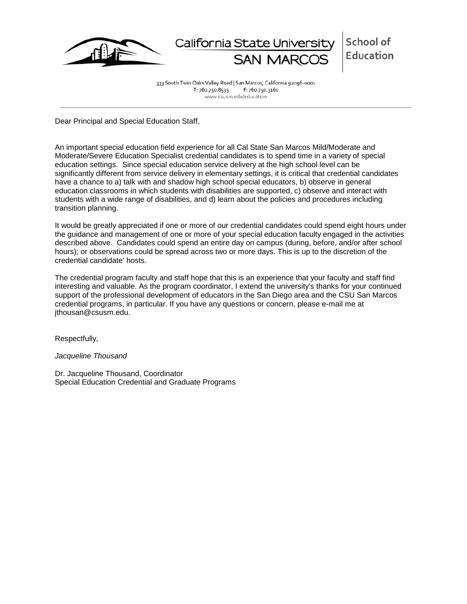

California State Universit

School of **Education** 

333 South Twin Oaks Valley Road | San Marcos, California 92096-0001 T: 760.750.8535 F: 760.750.3160 www.csusm.edu/education

Dear Principal and Special Education Staff,

An important special education field experience for all Cal State San Marcos Mild/Moderate and Moderate/Severe Education Specialist credential candidates is to spend time in a variety of special education settings. Since special education service delivery at the high school level can be significantly different from service delivery in elementary settings, it is critical that credential candidates have a chance to a) talk with and shadow high school special educators, b) observe in general education classrooms in which students with disabilities are supported, c) observe and interact with students with a wide range of disabilities, and d) learn about the policies and procedures including transition planning.

It would be greatly appreciated if one or more of our credential candidates could spend eight hours under the guidance and management of one or more of your special education faculty engaged in the activities described above. Candidates could spend an entire day on campus (during, before, and/or after school hours); or observations could be spread across two or more days. This is up to the discretion of the credential candidate' hosts.

The credential program faculty and staff hope that this is an experience that your faculty and staff find interesting and valuable. As the program coordinator, I extend the university's thanks for your continued support of the professional development of educators in the San Diego area and the CSU San Marcos credential programs, in particular. If you have any questions or concern, please e-mail me at jthousan@csusm.edu.

Respectfully,

*Jacqueline Thousand*

Dr. Jacqueline Thousand, Coordinator Special Education Credential and Graduate Programs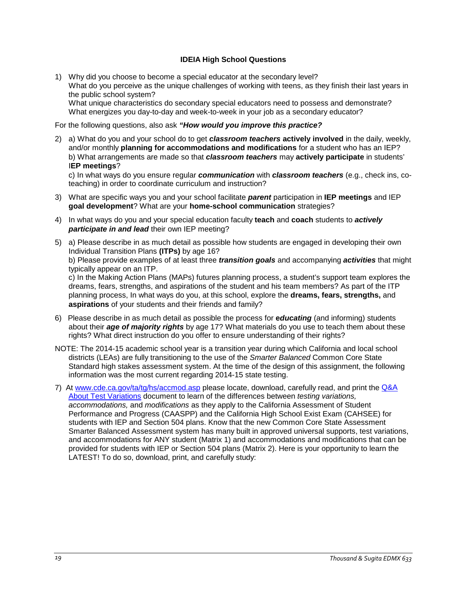# **IDEIA High School Questions**

<span id="page-18-0"></span>1) Why did you choose to become a special educator at the secondary level? What do you perceive as the unique challenges of working with teens, as they finish their last years in the public school system? What unique characteristics do secondary special educators need to possess and demonstrate? What energizes you day-to-day and week-to-week in your job as a secondary educator?

For the following questions, also ask *"How would you improve this practice?*

2) a) What do you and your school do to get *classroom teachers* **actively involved** in the daily, weekly, and/or monthly **planning for accommodations and modifications** for a student who has an IEP? b) What arrangements are made so that *classroom teachers* may **actively participate** in students' I**EP meetings**?

c) In what ways do you ensure regular *communication* with *classroom teachers* (e.g., check ins, coteaching) in order to coordinate curriculum and instruction?

- 3) What are specific ways you and your school facilitate *parent* participation in **IEP meetings** and IEP **goal development**? What are your **home-school communication** strategies?
- 4) In what ways do you and your special education faculty **teach** and **coach** students to *actively participate in and lead* their own IEP meeting?
- 5) a) Please describe in as much detail as possible how students are engaged in developing their own Individual Transition Plans **(ITPs)** by age 16? b) Please provide examples of at least three *transition goals* and accompanying *activities* that might typically appear on an ITP.

c) In the Making Action Plans (MAPs) futures planning process, a student's support team explores the dreams, fears, strengths, and aspirations of the student and his team members? As part of the ITP planning process, In what ways do you, at this school, explore the **dreams, fears, strengths,** and **aspirations** of your students and their friends and family?

- 6) Please describe in as much detail as possible the process for **e***ducating* (and informing) students about their *age of majority rights* by age 17? What materials do you use to teach them about these rights? What direct instruction do you offer to ensure understanding of their rights?
- NOTE: The 2014-15 academic school year is a transition year during which California and local school districts (LEAs) are fully transitioning to the use of the *Smarter Balanced* Common Core State Standard high stakes assessment system. At the time of the design of this assignment, the following information was the most current regarding 2014-15 state testing.
- 7) At [www.cde.ca.gov/ta/tg/hs/accmod.asp](http://www.cde.ca.gov/ta/tg/hs/accmod.asp) please locate, download, carefully read, and print the Q&A [About Test Variations](http://www.cde.ca.gov/ta/tg/hs/qandatestvar.asp) document to learn of the differences between *testing variations, accommodations,* and *modifications* as they apply to the California Assessment of Student Performance and Progress (CAASPP) and the California High School Exist Exam (CAHSEE) for students with IEP and Section 504 plans. Know that the new Common Core State Assessment Smarter Balanced Assessment system has many built in approved universal supports, test variations, and accommodations for ANY student (Matrix 1) and accommodations and modifications that can be provided for students with IEP or Section 504 plans (Matrix 2). Here is your opportunity to learn the LATEST! To do so, download, print, and carefully study: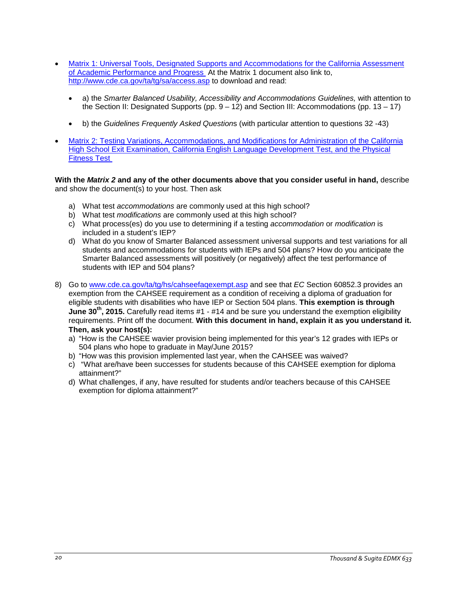- [Matrix 1: Universal Tools, Designated Supports and Accommodations for the California Assessment](http://www.cde.ca.gov/ta/tg/ai/caasppmatrix1.asp)  [of Academic Performance and Progress](http://www.cde.ca.gov/ta/tg/ai/caasppmatrix1.asp) At the Matrix 1 document also link to, <http://www.cde.ca.gov/ta/tg/sa/access.asp> to download and read:
	- a) the *Smarter Balanced Usability, Accessibility and Accommodations Guidelines,* with attention to the Section II: Designated Supports (pp.  $9 - 12$ ) and Section III: Accommodations (pp. 13 – 17)
	- b) the *Guidelines Frequently Asked Question*s (with particular attention to questions 32 -43)
- [Matrix 2: Testing Variations, Accommodations, and Modifications for Administration of the California](http://www.cde.ca.gov/ta/tg/ai/caasppmatrix2.asp)  [High School Exit Examination, California English Language Development Test, and the Physical](http://www.cde.ca.gov/ta/tg/ai/caasppmatrix2.asp)  [Fitness Test](http://www.cde.ca.gov/ta/tg/ai/caasppmatrix2.asp)

**With the** *Matrix 2* **and any of the other documents above that you consider useful in hand,** describe and show the document(s) to your host. Then ask

- a) What test *accommodations* are commonly used at this high school?
- b) What test *modifications* are commonly used at this high school?
- c) What process(es) do you use to determining if a testing *accommodation* or *modification* is included in a student's IEP?
- d) What do you know of Smarter Balanced assessment universal supports and test variations for all students and accommodations for students with IEPs and 504 plans? How do you anticipate the Smarter Balanced assessments will positively (or negatively) affect the test performance of students with IEP and 504 plans?
- 8) Go to [www.cde.ca.gov/ta/tg/hs/cahseefaqexempt.asp](http://www.cde.ca.gov/ta/tg/hs/cahseefaqexempt.asp) and see that *EC* Section 60852.3 provides an exemption from the CAHSEE requirement as a condition of receiving a diploma of graduation for eligible students with disabilities who have IEP or Section 504 plans. **This exemption is through June 30<sup>th</sup>, 2015.** Carefully read items #1 - #14 and be sure you understand the exemption eligibility requirements. Print off the document. **With this document in hand, explain it as you understand it. Then, ask your host(s):** 
	- a) "How is the CAHSEE wavier provision being implemented for this year's 12 grades with IEPs or 504 plans who hope to graduate in May/June 2015?
	- b) "How was this provision implemented last year, when the CAHSEE was waived?
	- c) "What are/have been successes for students because of this CAHSEE exemption for diploma attainment?"
	- d) What challenges, if any, have resulted for students and/or teachers because of this CAHSEE exemption for diploma attainment?"